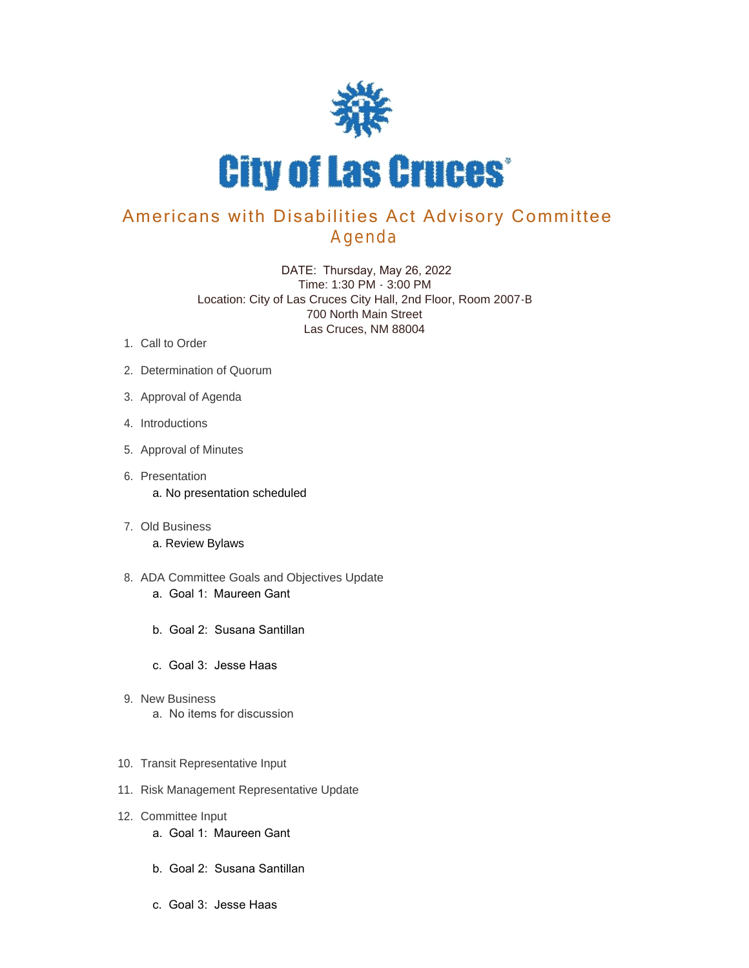

## Americans with Disabilities Act Advisory Committee Agenda

 DATE: Thursday, May 26, 2022 Time: 1:30 PM - 3:00 PM Location: City of Las Cruces City Hall, 2nd Floor, Room 2007-B 700 North Main Street Las Cruces, NM 88004

- 1. Call to Order
- 2. Determination of Quorum
- 3. Approval of Agenda
- 4. Introductions
- 5. Approval of Minutes
- 6. Presentation a. No presentation scheduled
- Old Business 7. a. Review Bylaws
- 8. ADA Committee Goals and Objectives Update a. Goal 1: Maureen Gant
	- b. Goal 2: Susana Santillan
	- c. Goal 3: Jesse Haas
- 9. New Business a. No items for discussion
- 10. Transit Representative Input
- 11. Risk Management Representative Update
- 12. Committee Input
	- a. Goal 1: Maureen Gant
	- b. Goal 2: Susana Santillan
	- c. Goal 3: Jesse Haas